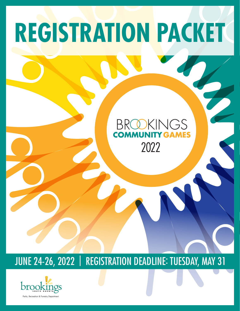

# rks, Recreation & Forestry Depo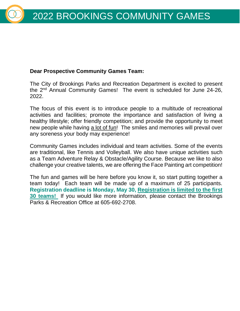# **Dear Prospective Community Games Team:**

The City of Brookings Parks and Recreation Department is excited to present the 2nd Annual Community Games! The event is scheduled for June 24-26, 2022.

The focus of this event is to introduce people to a multitude of recreational activities and facilities; promote the importance and satisfaction of living a healthy lifestyle; offer friendly competition; and provide the opportunity to meet new people while having a lot of fun! The smiles and memories will prevail over any soreness your body may experience!

Community Games includes individual and team activities. Some of the events are traditional, like Tennis and Volleyball. We also have unique activities such as a Team Adventure Relay & Obstacle/Agility Course. Because we like to also challenge your creative talents, we are offering the Face Painting art competition!

The fun and games will be here before you know it, so start putting together a team today! Each team will be made up of a maximum of 25 participants. **Registration deadline is Monday, May 30, Registration is limited to the first 30 teams!** If you would like more information, please contact the Brookings Parks & Recreation Office at 605-692-2708.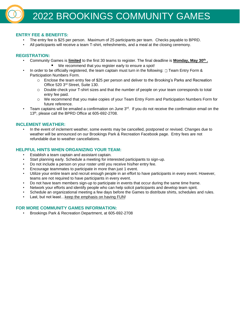# **ENTRY FEE & BENEFITS:**

- The entry fee is \$25 per person. Maximum of 25 participants per team. Checks payable to BPRD.
- All participants will receive a team T-shirt, refreshments, and a meal at the closing ceremony.

# **REGISTRATION:**

- Community Games is **limited** to the first 30 teams to register. The final deadline is **Monday, May 30th .**
	- We recommend that you register early to ensure a spot!
	- In order to be officially registered, the team captain must turn in the following:  $\Box$  Team Entry Form & Participation Numbers Form.
		- o Enclose the team entry fee of \$25 per person and deliver to the Brooking's Parks and Recreation Office 520 3rd Street, Suite 130.
		- o Double check your T-shirt sizes and that the number of people on your team corresponds to total entry fee paid.
		- o We recommend that you make copies of your Team Entry Form and Participation Numbers Form for future reference.
- Team captains will be emailed a confirmation on June 3<sup>rd</sup>. If you do not receive the confirmation email on the 13<sup>th</sup>, please call the BPRD Office at 605-692-2708.

# **INCLEMENT WEATHER:**

• In the event of inclement weather, some events may be cancelled, postponed or revised. Changes due to weather will be announced on our Brookings Park & Recreation Facebook page. Entry fees are not refundable due to weather cancellations.

# **HELPFUL HINTS WHEN ORGANIZING YOUR TEAM:**

- Establish a team captain and assistant captain.
- Start planning early. Schedule a meeting for interested participants to sign-up.
- Do not include a person on your roster until you receive his/her entry fee.
- Encourage teammates to participate in more than just 1 event.
- Utilize your entire team and recruit enough people in an effort to have participants in every event. However, teams are not required to have participants in every event.
- Do not have team members sign-up to participate in events that occur during the same time frame.
- Network your efforts and identify people who can help solicit participants and develop team spirit.
- Schedule an organizational meeting a few days before the Games to distribute shirts, schedules and rules.
- Last, but not least... keep the emphasis on having FUN!

# **FOR MORE COMMUNITY GAMES INFORMATION:**

• Brookings Park & Recreation Department, at 605-692-2708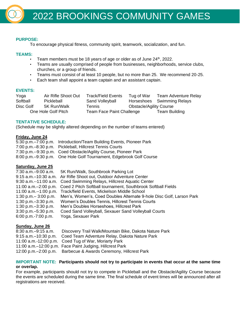# **PURPOSE:**

To encourage physical fitness, community spirit, teamwork, socialization, and fun.

# **TEAMS:**

- Team members must be 18 years of age or older as of June  $24<sup>th</sup>$ , 2022.
- Teams are usually comprised of people from businesses, neighborhoods, service clubs, churches, or a group of friends.
- Teams must consist of at least 10 people, but no more than 25. We recommend 20-25.
- Each team shall appoint a team captain and an assistant captain.

## **EVENTS:**

| Yoga      | Air Rifle Shoot Out | <b>Track/Field Events</b> | Tug of War                     | Team Adventure Relay |
|-----------|---------------------|---------------------------|--------------------------------|----------------------|
| Softball  | Pickleball          | Sand Volleyball           | Horseshoes                     | Swimming Relays      |
| Disc Golf | 5K Run/Walk         | Tennis                    | <b>Obstacle/Agility Course</b> |                      |
|           | One Hole Golf Pitch | Team Face Paint Challenge |                                | Team Building        |

## **TENTATIVE SCHEDULE:**

(Schedule may be slightly altered depending on the number of teams entered)

# **Friday, June 24**

| 5:30 p.m.–7:00 p.m. Introduction/Team Building Events, Pioneer Park |
|---------------------------------------------------------------------|
| 7:00 p.m. -8:30 p.m. Pickleball, Hillcrest Tennis Courts            |
| 7:30 p.m.--9:30 p.m. Coed Obstacle/Agility Course, Pioneer Park     |
| 8:00 p.m.–9:30 p.m. One Hole Golf Tournament, Edgebrook Golf Course |

# **Saturday, June 25**

|                          | 7:30 a.m.–9:00 a.m. 5K Run/Walk, Southbrook Parking Lot                           |
|--------------------------|-----------------------------------------------------------------------------------|
|                          | 9:15 a.m.-10:30 a.m. Air Rifle Shoot out, Outdoor Adventure Center                |
|                          | 9:30 a.m.--11:00 a.m. Coed Swimming Relays, Hillcrest Aquatic Center              |
|                          | 11:00 a.m.–2:00 p.m. Coed 2 Pitch Softball tournament, Southbrook Softball Fields |
|                          | 11:00 a.m.--1:00 p.m. Track/field Events, Mickelson Middle School                 |
| 1:30 p.m. $-$ 3:00 p.m.  | Men's, Women's, Coed Doubles Alternate 9-hole Disc Golf, Larson Park              |
| $1:30$ p.m. $-3:30$ p.m. | Women's Doubles Tennis, Hillcrest Tennis Courts                                   |
| 1:30 p.m. $-3:30$ p.m.   | Men's Doubles Horseshoes, Hillcrest Park                                          |
| $3:30$ p.m. $-5:30$ p.m. | Coed Sand Volleyball, Sexauer Sand Volleyball Courts                              |
| $6:00$ p.m.-7:00 p.m.    | Yoga, Sexauer Park                                                                |
|                          |                                                                                   |

# **Sunday, June 26**

| $8:30$ a.m. $-9:15$ a.m. | Discovery Trail Walk/Mountain Bike, Dakota Nature Park             |
|--------------------------|--------------------------------------------------------------------|
|                          | 9:15 a.m.–10:30 p.m. Coed Team Adventure Relay, Dakota Nature Park |
|                          | 11:00 a.m.-12:00 p.m. Coed Tug of War, Moriarty Park               |
|                          | 11:00 a.m.–12:00 p.m. Face Paint Judging, Hillcrest Park           |
|                          | 12:00 p.m.–2:00 p.m. Barbecue & Awards Ceremony, Hillcrest Park    |

## **IMPORTANT NOTE: Participants should not try to participate in events that occur at the same time or overlap.**

For example, participants should not try to compete in Pickleball and the Obstacle/Agility Course because the events are scheduled during the same time. The final schedule of event times will be announced after all registrations are received.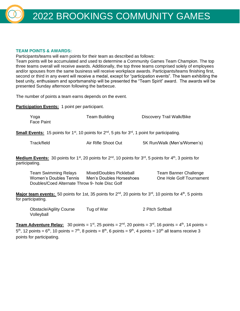# **TEAM POINTS & AWARDS:**

Participants/teams will earn points for their team as described as follows:

Team points will be accumulated and used to determine a Community Games Team Champion. The top three teams overall will receive awards. Additionally, the top three teams comprised solely of employees and/or spouses from the same business will receive workplace awards. Participants/teams finishing first, second or third in any event will receive a medal, except for "participation events". The team exhibiting the best unity, enthusiasm and sportsmanship will be presented the "Team Spirit" award. The awards will be presented Sunday afternoon following the barbecue.

The number of points a team earns depends on the event.

**Participation Events:** 1 point per participant.

| Yoga<br><b>Face Paint</b>                             | <b>Team Building</b>                                                                                                                        | Discovery Trail Walk/Bike                                                                                                                           |
|-------------------------------------------------------|---------------------------------------------------------------------------------------------------------------------------------------------|-----------------------------------------------------------------------------------------------------------------------------------------------------|
|                                                       | <b>Small Events:</b> 15 points for 1 <sup>st</sup> , 10 points for 2 <sup>nd</sup> , 5 pts for 3 <sup>rd</sup> , 1 point for participating. |                                                                                                                                                     |
| Track/field                                           | Air Rifle Shoot Out                                                                                                                         | 5K Run/Walk (Men's/Women's)                                                                                                                         |
| participating.                                        |                                                                                                                                             | <b>Medium Events:</b> 30 points for 1 <sup>st</sup> , 20 points for $2^{nd}$ , 10 points for $3^{rd}$ , 5 points for 4 <sup>th</sup> , 3 points for |
| <b>Team Swimming Relays</b><br>Women's Doubles Tennis | Mixed/Doubles Pickleball<br>Men's Doubles Horseshoes<br>Doubles/Coed Alternate Throw 9- hole Disc Golf                                      | Team Banner Challenge<br>One Hole Golf Tournament                                                                                                   |

Major team events: 50 points for 1st, 35 points for 2<sup>nd</sup>, 20 points for 3<sup>rd</sup>, 10 points for 4<sup>th</sup>, 5 points for participating.

Obstacle/Agility Course Tug of War 2 Pitch Softball Volleyball

**Team Adventure Relay:** 30 points =  $1^{st}$ , 25 points =  $2^{nd}$ , 20 points =  $3^{rd}$ , 16 points =  $4^{th}$ , 14 points =  $5<sup>th</sup>$ , 12 points = 6<sup>th</sup>, 10 points = 7<sup>th</sup>, 8 points = 8<sup>th</sup>, 6 points = 9<sup>th</sup>, 4 points = 10<sup>th</sup> all teams receive 3 points for participating.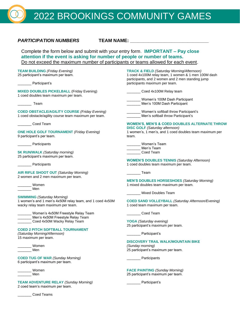# 2022 BROOKINGS COMMUNITY GAMES

| Complete the form below and submit with your entry form. <b>IMPORTANT - Pay close</b><br>attention if the event is asking for number of people or number of teams. |                                                                                                                                                                   |
|--------------------------------------------------------------------------------------------------------------------------------------------------------------------|-------------------------------------------------------------------------------------------------------------------------------------------------------------------|
| Do not exceed the maximum number of participants or teams allowed for each event.                                                                                  |                                                                                                                                                                   |
| <b>TEAM BUILDING (Friday Evening)</b><br>25 participant's maximum per team.                                                                                        | <b>TRACK &amp; FIELD (Saturday Morning/Afternoon)</b><br>1 coed 4x100M relay team, 1 women & 1 men 100M dash<br>participants, and 2 women and 2 men standing jump |
| _ Participant's                                                                                                                                                    | participants maximum per team.                                                                                                                                    |
| <b>MIXED DOUBLES PICKELBALL (Friday Evening)</b><br>1 coed doubles team maximum per team.                                                                          | ___ Coed 4x100M Relay team                                                                                                                                        |
| Team                                                                                                                                                               | Women's 100M Dash Participant<br>Men's 100M Dash Participant                                                                                                      |
| <b>COED OBSTACLE/AGILITY COURSE (Friday Evening)</b><br>1 coed obstacle/agility course team maximum per team.                                                      | Women's softball throw Participant's<br>Men's softball throw Participant's                                                                                        |
| Coed Team                                                                                                                                                          | <b>WOMEN'S, MEN'S &amp; COED DOUBLES ALTERNATE THROW</b><br><b>DISC GOLF</b> (Saturday afternoon)                                                                 |
| <b>ONE HOLE GOLF TOURNAMENT (Friday Evening)</b><br>9 participant's per team.                                                                                      | 1 women's, 1 men's, and 1 coed doubles team maximum per<br>team.                                                                                                  |
| _ Participants                                                                                                                                                     | _ Women's Team<br>Men's Team                                                                                                                                      |
| <b>5K RUN/WALK (Saturday morning)</b><br>25 participant's maximum per team.                                                                                        | Coed Team                                                                                                                                                         |
| _______ Participants                                                                                                                                               | <b>WOMEN'S DOUBLES TENNIS (Saturday Afternoon)</b><br>1 coed doubles team maximum per team.                                                                       |
| <b>AIR RIFLE SHOOT OUT (Saturday Morning)</b><br>2 women and 2 men maximum per team.                                                                               | Team                                                                                                                                                              |
| Women                                                                                                                                                              | <b>MEN'S DOUBLES HORSESHOES (Saturday Morning)</b><br>1 mixed doubles team maximum per team.                                                                      |
| Men                                                                                                                                                                | Mixed Doubles Team                                                                                                                                                |
| <b>SWIMMING</b> (Saturday Morning)<br>1 women's and 1 men's 4x50M relay team, and 1 coed 4x50M<br>wacky relay team maximum per team.                               | <b>COED SAND VOLLEYBALL (Saturday Afternoon/Evening)</b><br>1 coed team maximum per team.                                                                         |
| Women's 4x50M Freestyle Relay Team<br>Men's 4x50M Freestyle Relay Team                                                                                             | Coed Team                                                                                                                                                         |
| Coed 4x50M Wacky Relay Team                                                                                                                                        | <b>YOGA</b> (Saturday evening)<br>25 participant's maximum per team.                                                                                              |
| <b>COED 2 PITCH SOFTBALL TOURNAMENT</b><br>(Saturday Morning/Afternoon)<br>15 maximum per team.                                                                    | Participant's                                                                                                                                                     |
|                                                                                                                                                                    | <b>DISCOVERY TRAIL WALK/MOUNTAIN BIKE</b>                                                                                                                         |
| Women<br>Men                                                                                                                                                       | (Sunday morning)<br>25 participant's maximum per team.                                                                                                            |
| <b>COED TUG OF WAR (Sunday Morning)</b><br>6 participant's maximum per team.                                                                                       | Participants                                                                                                                                                      |
| Women                                                                                                                                                              | <b>FACE PAINTING (Sunday Morning)</b>                                                                                                                             |
| Men                                                                                                                                                                | 25 participant's maximum per team.                                                                                                                                |
| <b>TEAM ADVENTURE RELAY (Sunday Morning)</b>                                                                                                                       | Participant's                                                                                                                                                     |

2 coed team's maximum per team.

\_\_\_\_\_\_\_ Coed Teams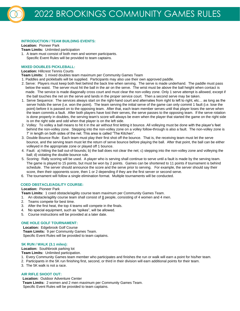#### **INTRODUCTION / TEAM BUILDING EVENTS:**

**Location:** Pioneer Park

**Team Limits:** Unlimited participation

1. A team must consist of both men and women participants. Specific Event Rules will be provided to team captains.

#### **MIXED DOUBLES PICKLEBALL:**

**Location:** Hillcrest Tennis Courts

- **Team Limits:** 1 mixed doubles team maximum per Community Games Team
- 1. Paddles and pickleballs will be supplied. Participants may also use their own approved paddle.
- 2. Serve: Players must keep both feet behind the back line when serving. The serve is made underhand. The paddle must pass below the waist. The server must hit the ball in the air on the serve. The wrist must be above the ball height when contact is made. The service is made diagonally cross court and must clear the non-volley zone. Only 1 serve attempt is allowed, except if the ball touches the net on the serve and lands in the proper service court. Then a second serve may be taken.
- 1. Serve Sequence: The services always start on the right-hand court and alternates from right to left to right, etc… as long as the server holds the serve (i.e. won the point). The team serving the initial serve of the game can only commit 1 fault (i.e. lose the point) before it is passed on to the opposing team. After that, each team member serves until that player loses the serve when the team commits a fault. After both players have lost their serves, the serve passes to the opposing team. If the serve rotation is done properly in doubles, the serving team's score will always be even when the player that started the game on the right side is on the right side and odd when that player is on the left side.
- 2. Volley: To volley a ball means to hit it in the air without first letting it bounce. All volleying must be done with the player's feet behind the non-volley zone. Stepping into the non-volley zone on a volley follow-through is also a fault. The non-volley zone is 7' in length on both sides of the net. This area is called "The Kitchen".
- 3. Double Bounce Rule: Each team must play their first shot off the bounce. That is, the receiving team must let the serve bounce, and the serving team must let the return of serve bounce before playing the ball. After that point, the ball can be either volleyed in the appropriate zone or played off 1 bounce.
- 4. Fault: a) hitting the ball out-of-bounds; b) the ball does not clear the net; c) stepping into the non-volley zone and volleying the ball; d) violating the double bounce rule.
- 5. Scoring: Rally scoring will be used. A player who is serving shall continue to serve until a fault is made by the serving team. The game is played to 15 points, but must be won by 2 points. Games can be shortened to 11 points if tournament is behind schedule. The server should announce the score and the serve prior to serving. For example, the server should say their score, then their opponents score, then 1 or 2 depending if they are the first server or second serve.
- 6. The tournament will follow a single elimination format. Multiple tournaments will be conducted.

#### **COED OBSTACLE/AGILITY COURSE:**

**Location:** Pioneer Park

- **Team Limits:** 1 coed obstacle/agility course team maximum per Community Games Team.
- 1. An obstacle/agility course team shall consist of 8 people, consisting of 4 women and 4 men.
- 2. Teams compete for best time.
- 3. After the first heat, the top 4 teams will compete in the finals.
- 4. No special equipment, such as "spikes", will be allowed.
- 5. Course instructions will be provided at a later date.

#### **ONE HOLE GOLF TOURNAMENT:**

**Location:** Edgebrook Golf Course **Team Limits:** 9 per Community Games Team. Specific Event Rules will be provided to team captains.

#### **5K RUN / WALK (3.1 miles):**

**Location:** Southbrook parking lot

- **Team Limits:** Unlimited participation.
- 1. Every Community Games team member who participates and finishes the run or walk will earn a point for his/her team.
- 2. Participants in the 5K run finishing first, second, or third in their division will earn additional points for their team.
- 3. The 5K walk is not a race.

#### **AIR RIFLE SHOOT OUT:**

 **Location:** Outdoor Adventure Center

 **Team Limits:** 2 women and 2 men maximum per Community Games Team. Specific Event Rules will be provided to team captains.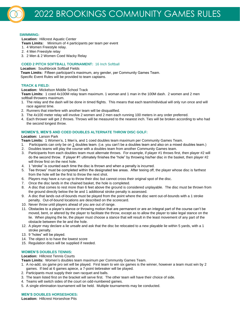#### **SWIMMING:**

 **Location:** Hillcrest Aquatic Center

 **Team Limits:** Minimum of 4 participants per team per event

- 1. 4 Women Freestyle relay.
- 2. 4 Men Freestyle relay

3. 2 Men & 2 Women Coed Wacky Relay

#### **COED 2 PITCH SOFTBALL TOURNAMENT:** 16 Inch Softball

#### **Location:** Southbrook Softball Fields

**Team Limits:** Fifteen participant's maximum, any gender, per Community Games Team. Specific Event Rules will be provided to team captains.

#### **TRACK & FIELD:**

**Location:** Mickelson Middle School Track

**Team Limits:** 1 coed 4x100M relay team maximum. 1 woman and 1 man in the 100M dash. 2 women and 2 men softball throwers maximum.

- 1. The relay and the dash will be done in timed flights. This means that each team/individual will only run once and will race against time.
- 2. Runners that interfere with another team will be disqualified.
- 3. The 4x100 meter relay will involve 2 women and 2 men each running 100 meters in any order preferred.
- 4. Each thrower will get 2 throws. Throws will be measured to the nearest inch. Ties will be broken according to who had the second longest throw.

#### **WOMEN'S, MEN'S AND COED DOUBLES ALTERNATE THROW DISC GOLF:**

#### **Location:** Larson Park

**Team Limits:** 1 Women's, 1 Men's, and 1 coed doubles team maximum per Community Games Team.

- 1. Participants can only be on 1 doubles team. (i.e. you can't be a doubles team and also on a mixed doubles team.)
- 2. Doubles teams will play the course with a doubles team from another Community Games team.
- 3. Participants from each doubles team must alternate throws. For example, if player #1 throws first, then player #2 will do the second throw. If player #1 ultimately finishes the "hole" by throwing his/her disc in the basket, then player #2 will throw first on the next hole.
- 4. 1 "stroke" is counted each time the disc is thrown and when a penalty is incurred.
- 5. Tee throws" must be completed within the designated tee areas. After teeing off, the player whose disc is farthest from the hole will be the first to throw the next shot.
- 6. Players may have a run-up to throw their disc but cannot cross their original spot of the disc.
- 7. Once the disc lands in the chained basket, the hole is completed.
- 8. A disc that comes to rest more than 6 feet above the ground is considered unplayable. The disc must be thrown from the ground directly below the lie and 1 additional stroke penalty is assessed.
- 9. A disc that lands out-of-bounds must be played from the point where the disc went out-of-bounds with a 1 stroke penalty. Out-of-bound locations are described on the scorecard.
- 10. Never throw until players ahead of you are out of range.
- 11. Obstacles to a player's stance or throwing motion that are permanent or are an integral part of the course can't be moved, bent, or altered by the player to facilitate the throw, except as to allow the player to take legal stance on the lie. When playing the lie, the player must choose a stance that will result in the least movement of any part of the obstacle between the lie and the hole.
- 12. A player may declare a lie unsafe and ask that the disc be relocated to a new playable lie within 5 yards, with a 1 stroke penalty.
- 13. 9 "holes" will be played.
- 14. The object is to have the lowest score
- 15. Regulation discs will be supplied if needed.

#### **WOMEN'S DOUBLES TENNIS:**

#### **Location:** Hillcrest Tennis Courts

**Team Limits:** Women's doubles team maximum per Community Games Team.

- 1. A no-add, six game pro set will be played. First team to win six games is the winner, however a team must win by 2 games. If tied at 6 games apiece, a 7-point tiebreaker will be played.
- 2. Participants must supply their own racquet and balls.
- 3. The team listed first on the bracket will serve first. The other team will have their choice of side.
- 4. Teams will switch sides of the court on odd-numbered games.
- 5. A single elimination tournament will be held. Multiple tournaments may be conducted.

#### **MEN'S DOUBLES HORSESHOES:**

**Location:** Hillcrest Horseshoe Pits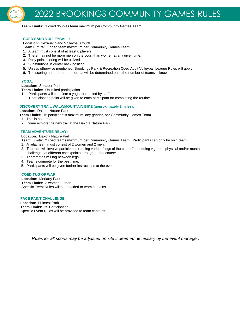**Team Limits:** 1 coed doubles team maximum per Community Games Team.

#### **COED SAND VOLLEYBALL:**

**Location:** Sexauer Sand Volleyball Courts

**Team Limits:** 1 coed team maximum per Community Games Team.

- 1. A team must consist of at least 6 players.
- 2. There may not be more men on the court than women at any given time.
- 3. Rally point scoring will be utilized.
- 4. Substitutions in center back position.
- 5. Unless otherwise mentioned, Brookings Park & Recreation Coed Adult Volleyball League Rules will apply.
- 6. The scoring and tournament format will be determined once the number of teams is known.

#### **YOGA:**

**Location:** Sexauer Park

**Team Limits:** Unlimited participation.

- 1. Participants will complete a yoga routine led by staff.
- 2. 1 participation point will be given to each participant for completing the routine.

#### **DISCOVERY TRAIL WALK/MOUNTAIN BIKE (approximately 2 miles):**

**Location:** Dakota Nature Park

**Team Limits:** 15 participant's maximum, any gender, per Community Games Team.

- 1. This is not a race
- 2. Come explore the new trail at the Dakota Nature Park.

#### **TEAM ADVENTURE RELAY:**

**Location:** Dakota Nature Park

**Team Limits:** 2 coed teams maximum per Community Games Team. Participants can only be on 1 team.

- 1. A relay team must consist of 2 women and 2 men.
- 2. The race will involve participants running various "legs of the course" and doing vigorous physical and/or mental challenges at different checkpoints throughout the course.
- 3. Teammates will tag between legs.
- 4. Teams compete for the best time.
- 5. Participants will be given further instructions at the event.

#### **COED TUG OF WAR:**

**Location:** Moriarty Park **Team Limits:** 3 women, 3 men Specific Event Rules will be provided to team captains.

#### **FACE PAINT CHALLENGE:**

**Location:** Hillcrest Park **Team Limits:** 25 Participation Specific Event Rules will be provided to team captains.

*Rules for all sports may be adjusted on site if deemed necessary by the event manager.*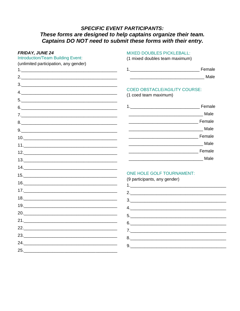# **SPECIFIC EVENT PARTICIPANTS:** These forms are designed to help captains organize their team.<br>Captains DO NOT need to submit these forms with their entry.

| FRIDAY, JUNE 24                       | <b>MIXED DOUBLES PICKLEBALL:</b>     |  |  |
|---------------------------------------|--------------------------------------|--|--|
| Introduction/Team Building Event:     | (1 mixed doubles team maximum)       |  |  |
| (unlimited participation, any gender) |                                      |  |  |
|                                       |                                      |  |  |
|                                       |                                      |  |  |
|                                       | <b>COED OBSTACLE/AGILITY COURSE:</b> |  |  |
|                                       | (1 coed team maximum)                |  |  |
|                                       |                                      |  |  |
|                                       |                                      |  |  |
|                                       |                                      |  |  |
|                                       |                                      |  |  |
|                                       |                                      |  |  |
|                                       |                                      |  |  |
|                                       |                                      |  |  |
|                                       |                                      |  |  |
|                                       |                                      |  |  |
|                                       | ONE HOLE GOLF TOURNAMENT:            |  |  |
|                                       | (9 participants, any gender)         |  |  |
|                                       |                                      |  |  |
|                                       |                                      |  |  |
|                                       |                                      |  |  |
|                                       |                                      |  |  |
|                                       |                                      |  |  |
|                                       | 6.                                   |  |  |
|                                       |                                      |  |  |
|                                       | 8.                                   |  |  |
| 25                                    |                                      |  |  |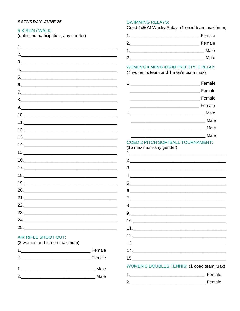# **SATURDAY, JUNE 25**

 $3.$ 

### 5 K RUN / WALK:

(unlimited participation, any gender)

 $\overline{4}$ .

 $6.$ 

 $9.$  $10.$ 

 $17.$ 

 $20.$ 

 $16.$ 

 $5.$ 

# **SWIMMING RELAYS:**

Coed 4x50M Wacky Relay (1 coed team maximum)

| 1 | Female |
|---|--------|
| 2 | Female |
| 4 | Male   |
| 2 | Male   |

# WOMEN'S & MEN'S 4X50M FREESTYLE RELAY:

(1 women's team and 1 men's team max)

| Female |
|--------|
| Female |
| Female |
| Female |
| Male   |
| Male   |
| Male   |
| Male   |

# **COED 2 PITCH SOFTBALL TOURNAMENT:** (15 maximum-any gender)

| WOMEN'S DOUBLES TENNIS: (1 coed team Max) |  |        |
|-------------------------------------------|--|--------|
|                                           |  |        |
|                                           |  | Female |

**AIR RIFLE SHOOT OUT:** (2 women and 2 men maximum)

 $25.$ 

| Female       |
|--------------|
| Male<br>Male |
|              |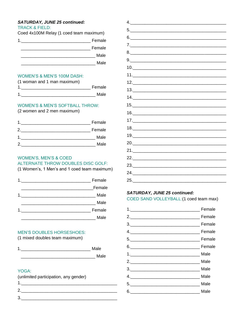# **SATURDAY, JUNE 25 continued:**

| <u>UATURUAT, JUNE ZU CURINGG.</u>       |        |
|-----------------------------------------|--------|
| <b>TRACK &amp; FIELD:</b>               |        |
| Coed 4x100M Relay (1 coed team maximum) |        |
|                                         | Female |
|                                         | Female |
|                                         | Male   |
|                                         | Male   |
|                                         |        |

# **WOMEN'S & MEN'S 100M DASH:**

(1 woman and 1 man maximum) 1. Male

# **WOMEN'S & MEN'S SOFTBALL THROW:**

(2 women and 2 men maximum)

| Female |
|--------|
| Female |
| Male   |
| Male   |

# **WOMEN'S, MEN'S & COED ALTERNATE THROW DOUBLES DISC GOLF:**

(1 Women's, 1 Men's and 1 coed team maximum)

| the control of the control of the control of the                                                                     | Female |
|----------------------------------------------------------------------------------------------------------------------|--------|
|                                                                                                                      | Female |
| <u> 1980 - Jan Barat, martin a shekara 1980 - An tsa a tsa a tsa a tsa a tsa a tsa a tsa a tsa a tsa a tsa a tsa</u> | Male   |
|                                                                                                                      | Male   |
|                                                                                                                      | Female |
|                                                                                                                      | Male   |

# **MEN'S DOUBLES HORSESHOES:**

(1 mixed doubles team maximum)

| и<br>ı | Male |
|--------|------|
|        | Male |

# YOGA:

| (unlimited participation, any gender) |  |  |  |  |  |  |
|---------------------------------------|--|--|--|--|--|--|
| ٠                                     |  |  |  |  |  |  |
| Ω                                     |  |  |  |  |  |  |
| ാ                                     |  |  |  |  |  |  |

| $\begin{array}{c}\n5.\n\end{array}$                                          |  |  |  |  |  |
|------------------------------------------------------------------------------|--|--|--|--|--|
| $6. \underline{\hspace{2cm}}$                                                |  |  |  |  |  |
|                                                                              |  |  |  |  |  |
|                                                                              |  |  |  |  |  |
|                                                                              |  |  |  |  |  |
| $10. \qquad \qquad \overbrace{\qquad \qquad }$                               |  |  |  |  |  |
|                                                                              |  |  |  |  |  |
|                                                                              |  |  |  |  |  |
| $\begin{array}{c}\n 13. \quad \textcolor{blue}{\textbf{13.2}}\n \end{array}$ |  |  |  |  |  |
| 14.                                                                          |  |  |  |  |  |
|                                                                              |  |  |  |  |  |
|                                                                              |  |  |  |  |  |
|                                                                              |  |  |  |  |  |
|                                                                              |  |  |  |  |  |
|                                                                              |  |  |  |  |  |
|                                                                              |  |  |  |  |  |
|                                                                              |  |  |  |  |  |
| $22.$                                                                        |  |  |  |  |  |
| 23.                                                                          |  |  |  |  |  |
| 24.                                                                          |  |  |  |  |  |
| 25.                                                                          |  |  |  |  |  |

# **SATURDAY, JUNE 25 continued:**

COED SAND VOLLEYBALL: (1 coed team max)

| Female |
|--------|
|        |
| Female |
|        |
|        |
|        |
|        |
|        |
| Male   |
| Male   |
| Male   |
| Male   |
|        |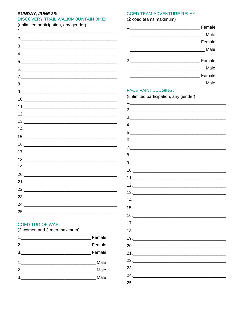# **SUNDAY, JUNE 26:**

# DISCOVERY TRAIL WALK/MOUNTAIN BIKE:

| (unlimited participation, any gender) |
|---------------------------------------|
| 1.                                    |
| 2.                                    |
| $\begin{array}{c}\n3.\n\end{array}$   |
| 4.                                    |
|                                       |
|                                       |
| <u>7. ___________________________</u> |
|                                       |
|                                       |
|                                       |
|                                       |
|                                       |
|                                       |
|                                       |
|                                       |
|                                       |
|                                       |
|                                       |
|                                       |
|                                       |
|                                       |
|                                       |
| $23. \underline{\hspace{2cm}}$        |
|                                       |
|                                       |

# **COED TEAM ADVENTURE RELAY:**

(2 coed teams maximum)

|                                                                     | Female |
|---------------------------------------------------------------------|--------|
|                                                                     | Male   |
|                                                                     | Female |
|                                                                     | Male   |
| $2^{\circ}$                                                         | Female |
|                                                                     | Male   |
|                                                                     | Female |
|                                                                     | Male   |
| <b>FACE PAINT JUDGING:</b><br>(unlimited participation, any gender) |        |

| 19.<br>20.<br>23.<br>25. | 3.<br>$\begin{array}{c}\n5. & \phantom{2\textwidth} \includegraphics[width=0.35\textwidth]{figs/2} \end{array}$<br>7.<br>$9. \underline{\hspace{2cm}}$<br>$\begin{array}{c}\n15. \\ \hline\n\end{array}$<br>17.<br>$\begin{array}{c} \n 18. \quad \textcolor{red}{\overline{\qquad \qquad }} \textcolor{red}{\overline{\qquad \qquad }} \textcolor{red}{\overline{\qquad \qquad }} \textcolor{red}{\overline{\qquad \qquad }} \textcolor{red}{\overline{\qquad \qquad }} \textcolor{red}{\overline{\qquad \qquad }} \textcolor{red}{\overline{\qquad \qquad }} \textcolor{red}{\overline{\qquad \qquad }} \textcolor{red}{\overline{\qquad \qquad }} \textcolor{red}{\overline{\qquad \qquad }} \textcolor{red}{\overline{\qquad \qquad }} \textcolor{red}{\overline{\qquad \qquad }} \textcolor{red}{\overline{\qquad \$<br>$21.$ $\qquad \qquad$ |  |  |  |
|--------------------------|----------------------------------------------------------------------------------------------------------------------------------------------------------------------------------------------------------------------------------------------------------------------------------------------------------------------------------------------------------------------------------------------------------------------------------------------------------------------------------------------------------------------------------------------------------------------------------------------------------------------------------------------------------------------------------------------------------------------------------------------------------------------------------------------------------------------------------------------------|--|--|--|

# **COED TUG OF WAR:**

| (3 women and 3 men maximum) |        |
|-----------------------------|--------|
|                             | Female |
|                             | Female |
|                             | Female |
|                             | Male   |
| 2.                          | Male   |
| 3.                          | Male   |
|                             |        |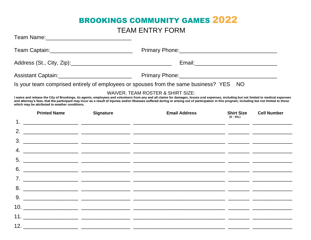# BROOKINGS COMMUNITY GAMES 2022

# TEAM ENTRY FORM

| Team Name: 2008 2009 2010 2021 2022 2023 2024 2022 2023 2024 2022 2023 2024 2022 2023 2024 2022 2023 2024 2022 |                  |                                                                                                                                                                                                                                                                                                                                                                                                                                  |                                  |                    |
|----------------------------------------------------------------------------------------------------------------|------------------|----------------------------------------------------------------------------------------------------------------------------------------------------------------------------------------------------------------------------------------------------------------------------------------------------------------------------------------------------------------------------------------------------------------------------------|----------------------------------|--------------------|
|                                                                                                                |                  |                                                                                                                                                                                                                                                                                                                                                                                                                                  |                                  |                    |
|                                                                                                                |                  |                                                                                                                                                                                                                                                                                                                                                                                                                                  |                                  |                    |
| Assistant Captain:_______________________________                                                              |                  |                                                                                                                                                                                                                                                                                                                                                                                                                                  |                                  |                    |
|                                                                                                                |                  | Is your team comprised entirely of employees or spouses from the same business? YES NO                                                                                                                                                                                                                                                                                                                                           |                                  |                    |
| which may be attributed to weather conditions.                                                                 |                  | WAIVER, TEAM ROSTER & SHIRT SIZE:<br>I waive and release the City of Brookings, its agents, employees and volunteers from any and all claims for damages, losses and expenses, including but not limited to medical expenses<br>and attorney's fees, that the participant may incur as a result of injuries and/or illnesses suffered during or arising out of participation in this program; including but not limited to those |                                  |                    |
| <b>Printed Name</b>                                                                                            | <b>Signature</b> | <b>Email Address</b>                                                                                                                                                                                                                                                                                                                                                                                                             | <b>Shirt Size</b><br>$(S - 4XL)$ | <b>Cell Number</b> |
|                                                                                                                |                  |                                                                                                                                                                                                                                                                                                                                                                                                                                  |                                  |                    |
|                                                                                                                |                  |                                                                                                                                                                                                                                                                                                                                                                                                                                  |                                  |                    |
|                                                                                                                |                  |                                                                                                                                                                                                                                                                                                                                                                                                                                  |                                  |                    |
|                                                                                                                |                  |                                                                                                                                                                                                                                                                                                                                                                                                                                  |                                  |                    |
|                                                                                                                |                  |                                                                                                                                                                                                                                                                                                                                                                                                                                  |                                  |                    |
| 6.                                                                                                             |                  |                                                                                                                                                                                                                                                                                                                                                                                                                                  |                                  |                    |